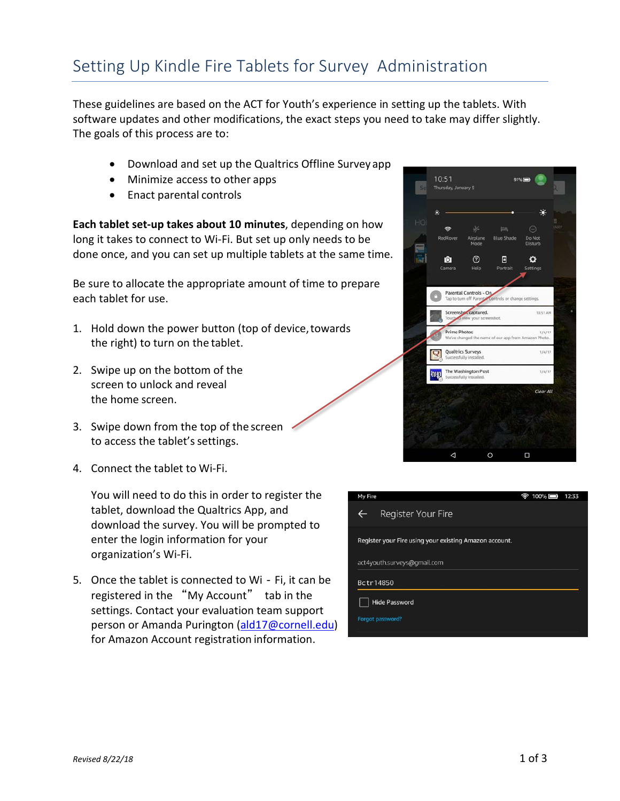## Setting Up Kindle Fire Tablets for Survey Administration

These guidelines are based on the ACT for Youth's experience in setting up the tablets. With software updates and other modifications, the exact steps you need to take may differ slightly. The goals of this process are to:

- Download and set up the Qualtrics Offline Survey app
- Minimize access to other apps
- Enact parental controls

**Each tablet set-up takes about 10 minutes**, depending on how long it takes to connect to Wi-Fi. But set up only needs to be done once, and you can set up multiple tablets at the same time.

Be sure to allocate the appropriate amount of time to prepare each tablet for use.

- 1. Hold down the power button (top of device,towards the right) to turn on the tablet.
- 2. Swipe up on the bottom of the screen to unlock and reveal the home screen.
- 3. Swipe down from the top of the screen to access the tablet's settings.
- 4. Connect the tablet to Wi-Fi.

You will need to do this in order to register the tablet, download the Qualtrics App, and download the survey. You will be prompted to enter the login information for your organization's Wi-Fi.

5. Once the tablet is connected to Wi - Fi, it can be registered in the "My Account" tab in the settings. Contact your evaluation team support person or Amanda Purington [\(ald17@cornell.edu\)](mailto:ald17@cornell.edu) for Amazon Account registration information.



| My Fire                                                | $100\%$ | 12:33 |  |  |  |  |
|--------------------------------------------------------|---------|-------|--|--|--|--|
| Register Your Fire<br>$\leftarrow$                     |         |       |  |  |  |  |
| Register your Fire using your existing Amazon account. |         |       |  |  |  |  |
| act4youth.surveys@gmail.com                            |         |       |  |  |  |  |
| Bctr14850                                              |         |       |  |  |  |  |
| <b>Hide Password</b>                                   |         |       |  |  |  |  |
| Forgot password?                                       |         |       |  |  |  |  |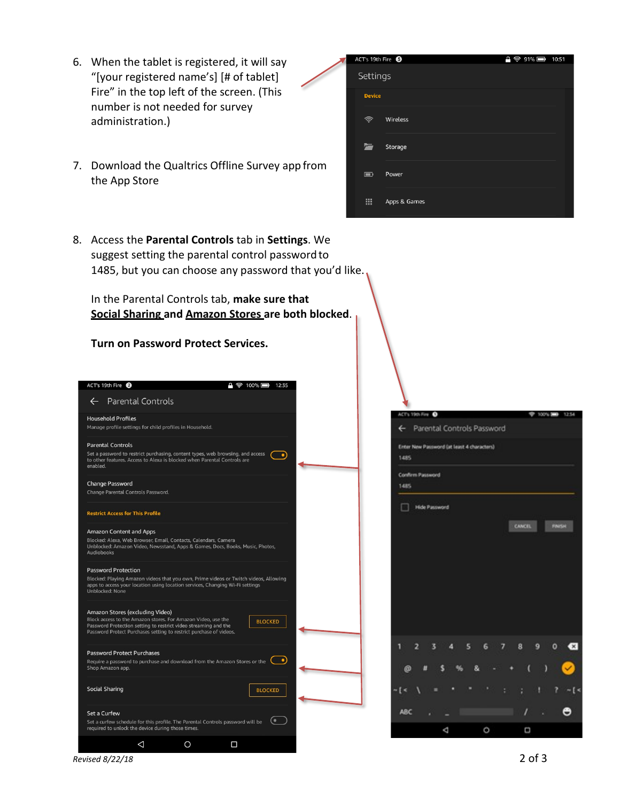- 6. When the tablet is registered, it will say "[your registered name's] [# of tablet] Fire" in the top left of the screen. (This number is not needed for survey administration.)
- 7. Download the Qualtrics Offline Survey app from the App Store

|  | ACT's 19th Fire <sup>6</sup> |              | 9 令 91% ■ 10:51 |  |
|--|------------------------------|--------------|-----------------|--|
|  | Settings                     |              |                 |  |
|  | <b>Device</b>                |              |                 |  |
|  | ຈ                            | Wireless     |                 |  |
|  | ∼                            | Storage      |                 |  |
|  | $\blacksquare$               | Power        |                 |  |
|  | 噩                            | Apps & Games |                 |  |

8. Access the **Parental Controls** tab in **Settings**. We suggest setting the parental control password to 1485, but you can choose any password that you'd like.

In the Parental Controls tab, **make sure that Social Sharing and Amazon Stores are both blocked**.

**Turn on Password Protect Services.**